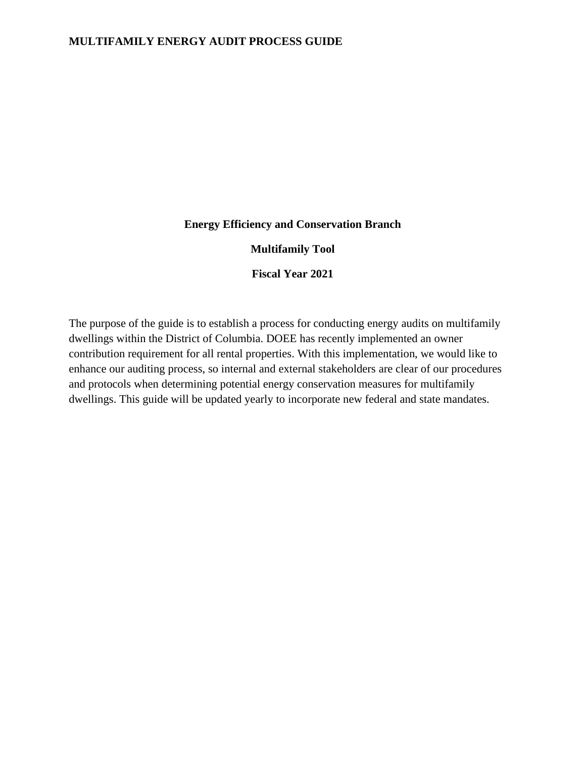#### **Energy Efficiency and Conservation Branch**

#### **Multifamily Tool**

**Fiscal Year 2021**

The purpose of the guide is to establish a process for conducting energy audits on multifamily dwellings within the District of Columbia. DOEE has recently implemented an owner contribution requirement for all rental properties. With this implementation, we would like to enhance our auditing process, so internal and external stakeholders are clear of our procedures and protocols when determining potential energy conservation measures for multifamily dwellings. This guide will be updated yearly to incorporate new federal and state mandates.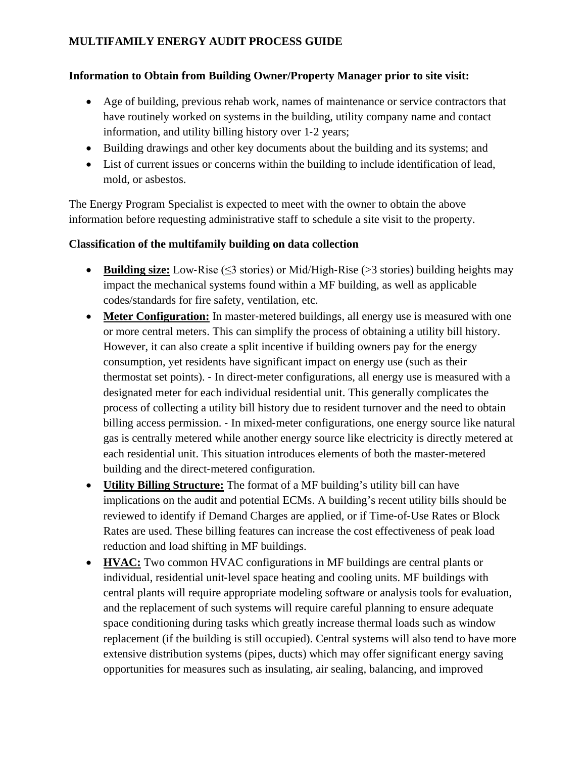#### **Information to Obtain from Building Owner/Property Manager prior to site visit:**

- Age of building, previous rehab work, names of maintenance or service contractors that have routinely worked on systems in the building, utility company name and contact information, and utility billing history over 1‐2 years;
- Building drawings and other key documents about the building and its systems; and
- List of current issues or concerns within the building to include identification of lead, mold, or asbestos.

The Energy Program Specialist is expected to meet with the owner to obtain the above information before requesting administrative staff to schedule a site visit to the property.

#### **Classification of the multifamily building on data collection**

- **Building size:** Low‐Rise (≤3 stories) or Mid/High‐Rise (>3 stories) building heights may impact the mechanical systems found within a MF building, as well as applicable codes/standards for fire safety, ventilation, etc.
- **Meter Configuration:** In master-metered buildings, all energy use is measured with one or more central meters. This can simplify the process of obtaining a utility bill history. However, it can also create a split incentive if building owners pay for the energy consumption, yet residents have significant impact on energy use (such as their thermostat set points). ‐ In direct‐meter configurations, all energy use is measured with a designated meter for each individual residential unit. This generally complicates the process of collecting a utility bill history due to resident turnover and the need to obtain billing access permission. - In mixed-meter configurations, one energy source like natural gas is centrally metered while another energy source like electricity is directly metered at each residential unit. This situation introduces elements of both the master‐metered building and the direct‐metered configuration.
- **Utility Billing Structure:** The format of a MF building's utility bill can have implications on the audit and potential ECMs. A building's recent utility bills should be reviewed to identify if Demand Charges are applied, or if Time‐of‐Use Rates or Block Rates are used. These billing features can increase the cost effectiveness of peak load reduction and load shifting in MF buildings.
- **HVAC:** Two common HVAC configurations in MF buildings are central plants or individual, residential unit‐level space heating and cooling units. MF buildings with central plants will require appropriate modeling software or analysis tools for evaluation, and the replacement of such systems will require careful planning to ensure adequate space conditioning during tasks which greatly increase thermal loads such as window replacement (if the building is still occupied). Central systems will also tend to have more extensive distribution systems (pipes, ducts) which may offer significant energy saving opportunities for measures such as insulating, air sealing, balancing, and improved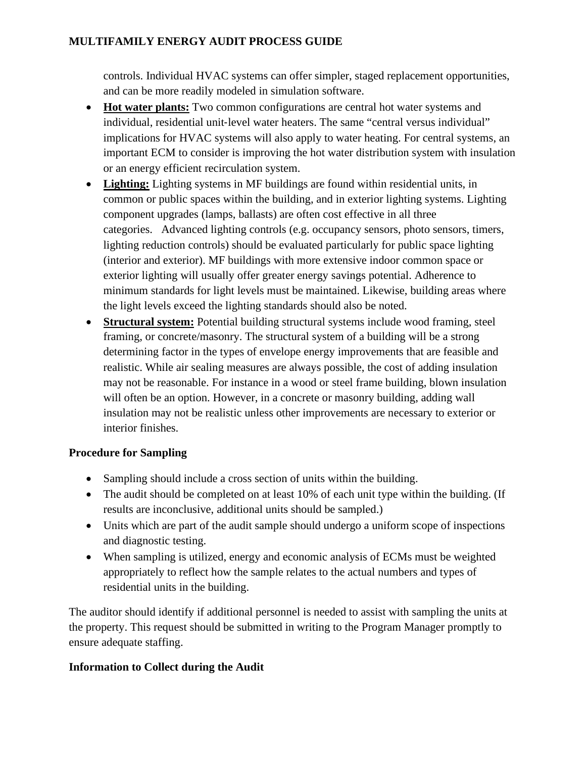controls. Individual HVAC systems can offer simpler, staged replacement opportunities, and can be more readily modeled in simulation software.

- **Hot water plants:** Two common configurations are central hot water systems and individual, residential unit‐level water heaters. The same "central versus individual" implications for HVAC systems will also apply to water heating. For central systems, an important ECM to consider is improving the hot water distribution system with insulation or an energy efficient recirculation system.
- **Lighting:** Lighting systems in MF buildings are found within residential units, in common or public spaces within the building, and in exterior lighting systems. Lighting component upgrades (lamps, ballasts) are often cost effective in all three categories. Advanced lighting controls (e.g. occupancy sensors, photo sensors, timers, lighting reduction controls) should be evaluated particularly for public space lighting (interior and exterior). MF buildings with more extensive indoor common space or exterior lighting will usually offer greater energy savings potential. Adherence to minimum standards for light levels must be maintained. Likewise, building areas where the light levels exceed the lighting standards should also be noted.
- **Structural system:** Potential building structural systems include wood framing, steel framing, or concrete/masonry. The structural system of a building will be a strong determining factor in the types of envelope energy improvements that are feasible and realistic. While air sealing measures are always possible, the cost of adding insulation may not be reasonable. For instance in a wood or steel frame building, blown insulation will often be an option. However, in a concrete or masonry building, adding wall insulation may not be realistic unless other improvements are necessary to exterior or interior finishes.

### **Procedure for Sampling**

- Sampling should include a cross section of units within the building.
- The audit should be completed on at least 10% of each unit type within the building. (If results are inconclusive, additional units should be sampled.)
- Units which are part of the audit sample should undergo a uniform scope of inspections and diagnostic testing.
- When sampling is utilized, energy and economic analysis of ECMs must be weighted appropriately to reflect how the sample relates to the actual numbers and types of residential units in the building.

The auditor should identify if additional personnel is needed to assist with sampling the units at the property. This request should be submitted in writing to the Program Manager promptly to ensure adequate staffing.

#### **Information to Collect during the Audit**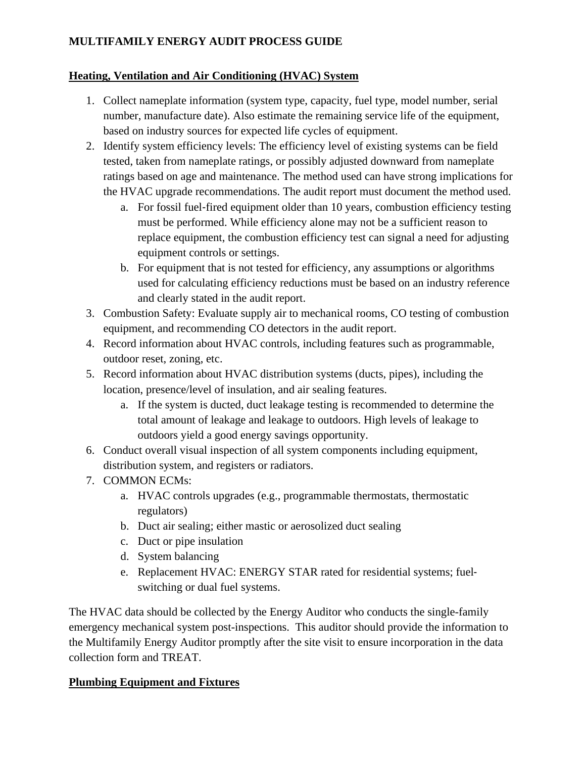### **Heating, Ventilation and Air Conditioning (HVAC) System**

- 1. Collect nameplate information (system type, capacity, fuel type, model number, serial number, manufacture date). Also estimate the remaining service life of the equipment, based on industry sources for expected life cycles of equipment.
- 2. Identify system efficiency levels: The efficiency level of existing systems can be field tested, taken from nameplate ratings, or possibly adjusted downward from nameplate ratings based on age and maintenance. The method used can have strong implications for the HVAC upgrade recommendations. The audit report must document the method used.
	- a. For fossil fuel‐fired equipment older than 10 years, combustion efficiency testing must be performed. While efficiency alone may not be a sufficient reason to replace equipment, the combustion efficiency test can signal a need for adjusting equipment controls or settings.
	- b. For equipment that is not tested for efficiency, any assumptions or algorithms used for calculating efficiency reductions must be based on an industry reference and clearly stated in the audit report.
- 3. Combustion Safety: Evaluate supply air to mechanical rooms, CO testing of combustion equipment, and recommending CO detectors in the audit report.
- 4. Record information about HVAC controls, including features such as programmable, outdoor reset, zoning, etc.
- 5. Record information about HVAC distribution systems (ducts, pipes), including the location, presence/level of insulation, and air sealing features.
	- a. If the system is ducted, duct leakage testing is recommended to determine the total amount of leakage and leakage to outdoors. High levels of leakage to outdoors yield a good energy savings opportunity.
- 6. Conduct overall visual inspection of all system components including equipment, distribution system, and registers or radiators.
- 7. COMMON ECMs:
	- a. HVAC controls upgrades (e.g., programmable thermostats, thermostatic regulators)
	- b. Duct air sealing; either mastic or aerosolized duct sealing
	- c. Duct or pipe insulation
	- d. System balancing
	- e. Replacement HVAC: ENERGY STAR rated for residential systems; fuelswitching or dual fuel systems.

The HVAC data should be collected by the Energy Auditor who conducts the single-family emergency mechanical system post-inspections. This auditor should provide the information to the Multifamily Energy Auditor promptly after the site visit to ensure incorporation in the data collection form and TREAT.

### **Plumbing Equipment and Fixtures**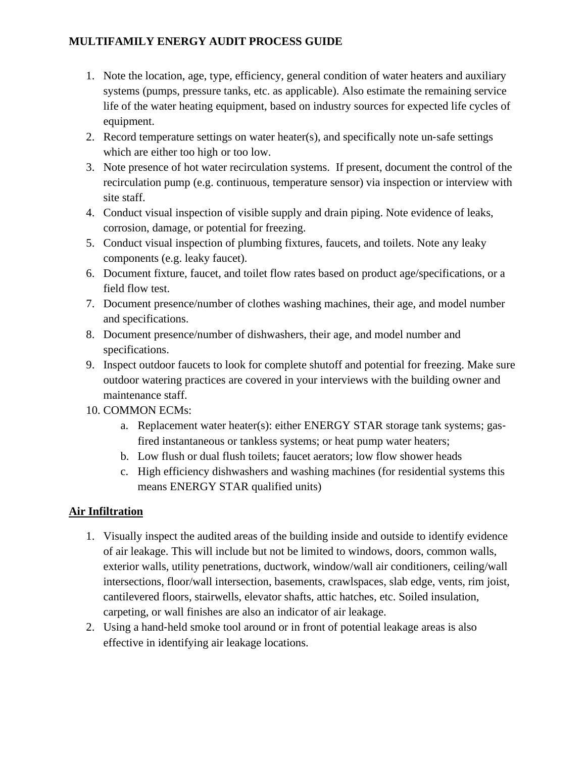- 1. Note the location, age, type, efficiency, general condition of water heaters and auxiliary systems (pumps, pressure tanks, etc. as applicable). Also estimate the remaining service life of the water heating equipment, based on industry sources for expected life cycles of equipment.
- 2. Record temperature settings on water heater(s), and specifically note un-safe settings which are either too high or too low.
- 3. Note presence of hot water recirculation systems. If present, document the control of the recirculation pump (e.g. continuous, temperature sensor) via inspection or interview with site staff.
- 4. Conduct visual inspection of visible supply and drain piping. Note evidence of leaks, corrosion, damage, or potential for freezing.
- 5. Conduct visual inspection of plumbing fixtures, faucets, and toilets. Note any leaky components (e.g. leaky faucet).
- 6. Document fixture, faucet, and toilet flow rates based on product age/specifications, or a field flow test.
- 7. Document presence/number of clothes washing machines, their age, and model number and specifications.
- 8. Document presence/number of dishwashers, their age, and model number and specifications.
- 9. Inspect outdoor faucets to look for complete shutoff and potential for freezing. Make sure outdoor watering practices are covered in your interviews with the building owner and maintenance staff.
- 10. COMMON ECMs:
	- a. Replacement water heater(s): either ENERGY STAR storage tank systems; gasfired instantaneous or tankless systems; or heat pump water heaters;
	- b. Low flush or dual flush toilets; faucet aerators; low flow shower heads
	- c. High efficiency dishwashers and washing machines (for residential systems this means ENERGY STAR qualified units)

### **Air Infiltration**

- 1. Visually inspect the audited areas of the building inside and outside to identify evidence of air leakage. This will include but not be limited to windows, doors, common walls, exterior walls, utility penetrations, ductwork, window/wall air conditioners, ceiling/wall intersections, floor/wall intersection, basements, crawlspaces, slab edge, vents, rim joist, cantilevered floors, stairwells, elevator shafts, attic hatches, etc. Soiled insulation, carpeting, or wall finishes are also an indicator of air leakage.
- 2. Using a hand‐held smoke tool around or in front of potential leakage areas is also effective in identifying air leakage locations.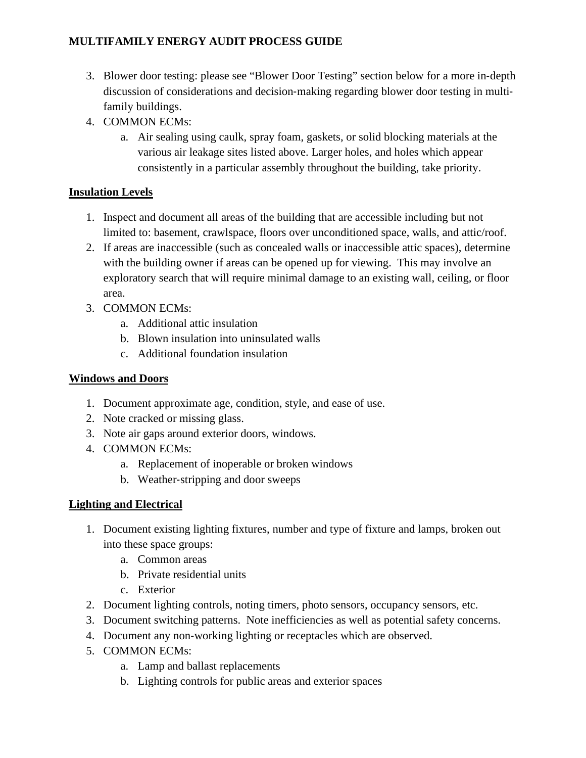- 3. Blower door testing: please see "Blower Door Testing" section below for a more in‐depth discussion of considerations and decision‐making regarding blower door testing in multi‐ family buildings.
- 4. COMMON ECMs:
	- a. Air sealing using caulk, spray foam, gaskets, or solid blocking materials at the various air leakage sites listed above. Larger holes, and holes which appear consistently in a particular assembly throughout the building, take priority.

# **Insulation Levels**

- 1. Inspect and document all areas of the building that are accessible including but not limited to: basement, crawlspace, floors over unconditioned space, walls, and attic/roof.
- 2. If areas are inaccessible (such as concealed walls or inaccessible attic spaces), determine with the building owner if areas can be opened up for viewing. This may involve an exploratory search that will require minimal damage to an existing wall, ceiling, or floor area.
- 3. COMMON ECMs:
	- a. Additional attic insulation
	- b. Blown insulation into uninsulated walls
	- c. Additional foundation insulation

# **Windows and Doors**

- 1. Document approximate age, condition, style, and ease of use.
- 2. Note cracked or missing glass.
- 3. Note air gaps around exterior doors, windows.
- 4. COMMON ECMs:
	- a. Replacement of inoperable or broken windows
	- b. Weather‐stripping and door sweeps

# **Lighting and Electrical**

- 1. Document existing lighting fixtures, number and type of fixture and lamps, broken out into these space groups:
	- a. Common areas
	- b. Private residential units
	- c. Exterior
- 2. Document lighting controls, noting timers, photo sensors, occupancy sensors, etc.
- 3. Document switching patterns. Note inefficiencies as well as potential safety concerns.
- 4. Document any non‐working lighting or receptacles which are observed.
- 5. COMMON ECMs:
	- a. Lamp and ballast replacements
	- b. Lighting controls for public areas and exterior spaces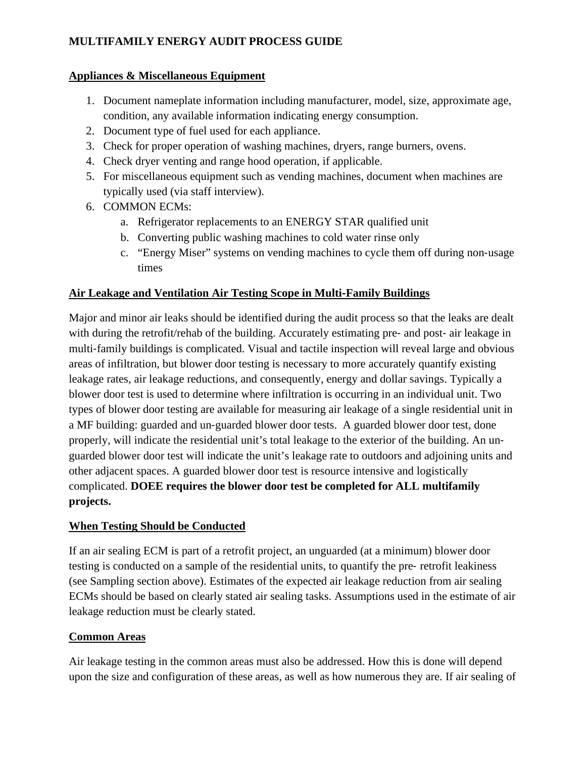### **Appliances & Miscellaneous Equipment**

- 1. Document nameplate information including manufacturer, model, size, approximate age, condition, any available information indicating energy consumption.
- 2. Document type of fuel used for each appliance.
- 3. Check for proper operation of washing machines, dryers, range burners, ovens.
- 4. Check dryer venting and range hood operation, if applicable.
- 5. For miscellaneous equipment such as vending machines, document when machines are typically used (via staff interview).
- 6. COMMON ECMs:
	- a. Refrigerator replacements to an ENERGY STAR qualified unit
	- b. Converting public washing machines to cold water rinse only
	- c. "Energy Miser" systems on vending machines to cycle them off during non‐usage times

# **Air Leakage and Ventilation Air Testing Scope in Multi**‐**Family Buildings**

Major and minor air leaks should be identified during the audit process so that the leaks are dealt with during the retrofit/rehab of the building. Accurately estimating pre- and post- air leakage in multi-family buildings is complicated. Visual and tactile inspection will reveal large and obvious areas of infiltration, but blower door testing is necessary to more accurately quantify existing leakage rates, air leakage reductions, and consequently, energy and dollar savings. Typically a blower door test is used to determine where infiltration is occurring in an individual unit. Two types of blower door testing are available for measuring air leakage of a single residential unit in a MF building: guarded and un‐guarded blower door tests. A guarded blower door test, done properly, will indicate the residential unit's total leakage to the exterior of the building. An unguarded blower door test will indicate the unit's leakage rate to outdoors and adjoining units and other adjacent spaces. A guarded blower door test is resource intensive and logistically complicated. **DOEE requires the blower door test be completed for ALL multifamily projects.**

### **When Testing Should be Conducted**

If an air sealing ECM is part of a retrofit project, an unguarded (at a minimum) blower door testing is conducted on a sample of the residential units, to quantify the pre‐ retrofit leakiness (see Sampling section above). Estimates of the expected air leakage reduction from air sealing ECMs should be based on clearly stated air sealing tasks. Assumptions used in the estimate of air leakage reduction must be clearly stated.

### **Common Areas**

Air leakage testing in the common areas must also be addressed. How this is done will depend upon the size and configuration of these areas, as well as how numerous they are. If air sealing of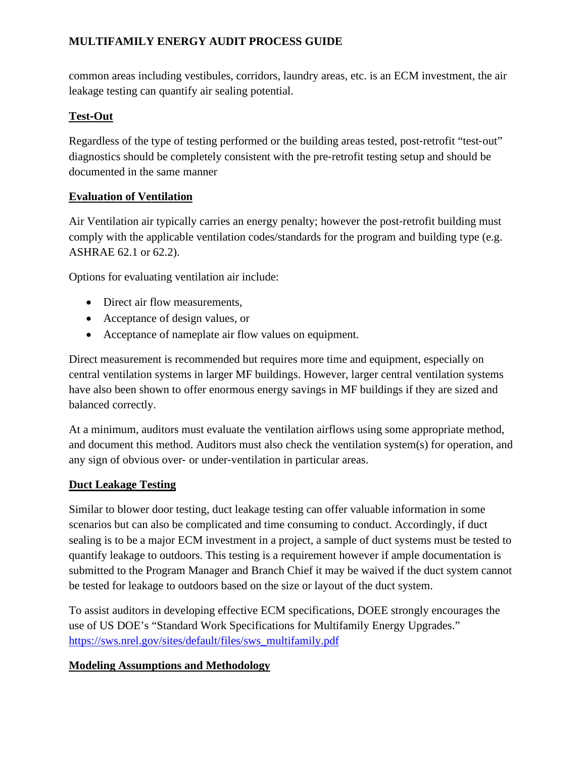common areas including vestibules, corridors, laundry areas, etc. is an ECM investment, the air leakage testing can quantify air sealing potential.

### **Test**‐**Out**

Regardless of the type of testing performed or the building areas tested, post-retrofit "test-out" diagnostics should be completely consistent with the pre‐retrofit testing setup and should be documented in the same manner

### **Evaluation of Ventilation**

Air Ventilation air typically carries an energy penalty; however the post-retrofit building must comply with the applicable ventilation codes/standards for the program and building type (e.g. ASHRAE 62.1 or 62.2).

Options for evaluating ventilation air include:

- Direct air flow measurements,
- Acceptance of design values, or
- Acceptance of nameplate air flow values on equipment.

Direct measurement is recommended but requires more time and equipment, especially on central ventilation systems in larger MF buildings. However, larger central ventilation systems have also been shown to offer enormous energy savings in MF buildings if they are sized and balanced correctly.

At a minimum, auditors must evaluate the ventilation airflows using some appropriate method, and document this method. Auditors must also check the ventilation system(s) for operation, and any sign of obvious over‐ or under‐ventilation in particular areas.

### **Duct Leakage Testing**

Similar to blower door testing, duct leakage testing can offer valuable information in some scenarios but can also be complicated and time consuming to conduct. Accordingly, if duct sealing is to be a major ECM investment in a project, a sample of duct systems must be tested to quantify leakage to outdoors. This testing is a requirement however if ample documentation is submitted to the Program Manager and Branch Chief it may be waived if the duct system cannot be tested for leakage to outdoors based on the size or layout of the duct system.

To assist auditors in developing effective ECM specifications, DOEE strongly encourages the use of US DOE's "Standard Work Specifications for Multifamily Energy Upgrades." [https://sws.nrel.gov/sites/default/files/sws\\_multifamily.pdf](https://sws.nrel.gov/sites/default/files/sws_multifamily.pdf)

### **Modeling Assumptions and Methodology**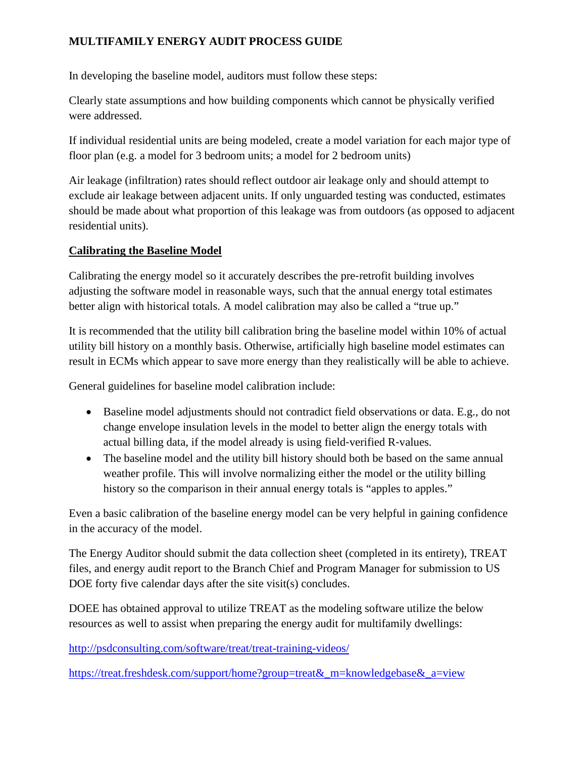In developing the baseline model, auditors must follow these steps:

Clearly state assumptions and how building components which cannot be physically verified were addressed.

If individual residential units are being modeled, create a model variation for each major type of floor plan (e.g. a model for 3 bedroom units; a model for 2 bedroom units)

Air leakage (infiltration) rates should reflect outdoor air leakage only and should attempt to exclude air leakage between adjacent units. If only unguarded testing was conducted, estimates should be made about what proportion of this leakage was from outdoors (as opposed to adjacent residential units).

### **Calibrating the Baseline Model**

Calibrating the energy model so it accurately describes the pre‐retrofit building involves adjusting the software model in reasonable ways, such that the annual energy total estimates better align with historical totals. A model calibration may also be called a "true up."

It is recommended that the utility bill calibration bring the baseline model within 10% of actual utility bill history on a monthly basis. Otherwise, artificially high baseline model estimates can result in ECMs which appear to save more energy than they realistically will be able to achieve.

General guidelines for baseline model calibration include:

- Baseline model adjustments should not contradict field observations or data. E.g., do not change envelope insulation levels in the model to better align the energy totals with actual billing data, if the model already is using field‐verified R‐values.
- The baseline model and the utility bill history should both be based on the same annual weather profile. This will involve normalizing either the model or the utility billing history so the comparison in their annual energy totals is "apples to apples."

Even a basic calibration of the baseline energy model can be very helpful in gaining confidence in the accuracy of the model.

The Energy Auditor should submit the data collection sheet (completed in its entirety), TREAT files, and energy audit report to the Branch Chief and Program Manager for submission to US DOE forty five calendar days after the site visit(s) concludes.

DOEE has obtained approval to utilize TREAT as the modeling software utilize the below resources as well to assist when preparing the energy audit for multifamily dwellings:

<http://psdconsulting.com/software/treat/treat-training-videos/>

[https://treat.freshdesk.com/support/home?group=treat&\\_m=knowledgebase&\\_a=view](https://treat.freshdesk.com/support/home?group=treat&_m=knowledgebase&_a=view)